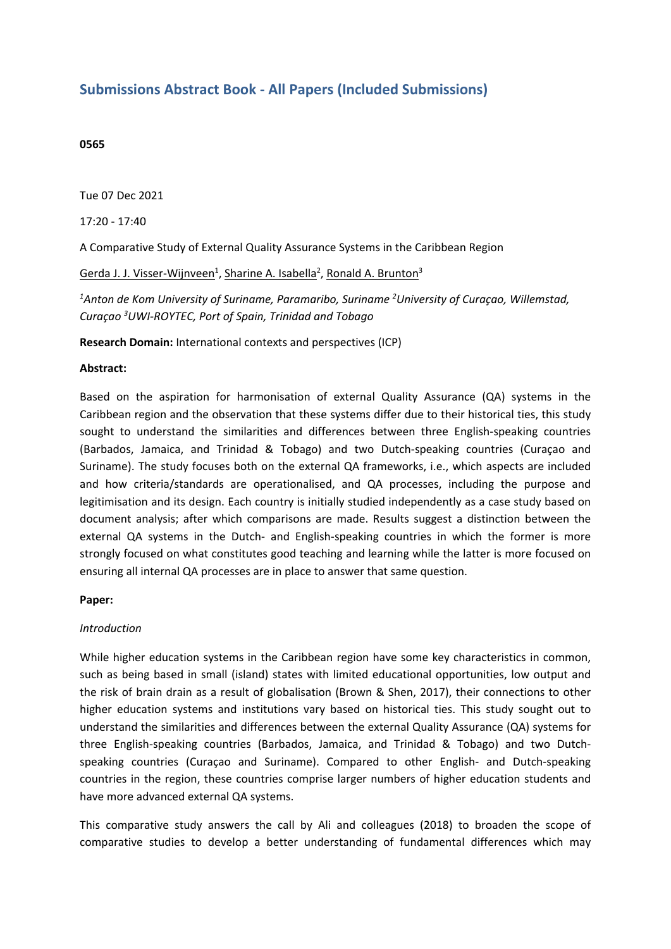# **Submissions Abstract Book - All Papers (Included Submissions)**

#### **0565**

Tue 07 Dec 2021

17:20 - 17:40

A Comparative Study of External Quality Assurance Systems in the Caribbean Region

Gerda J. J. Visser-Wijnveen<sup>1</sup>, Sharine A. Isabella<sup>2</sup>, Ronald A. Brunton<sup>3</sup>

*1 Anton de Kom University of Suriname, Paramaribo, Suriname 2 University of Curaçao, Willemstad, Curaçao <sup>3</sup> UWI-ROYTEC, Port of Spain, Trinidad and Tobago*

**Research Domain:** International contexts and perspectives (ICP)

#### **Abstract:**

Based on the aspiration for harmonisation of external Quality Assurance (QA) systems in the Caribbean region and the observation that these systems differ due to their historical ties, this study sought to understand the similarities and differences between three English-speaking countries (Barbados, Jamaica, and Trinidad & Tobago) and two Dutch-speaking countries (Curaçao and Suriname). The study focuses both on the external QA frameworks, i.e., which aspects are included and how criteria/standards are operationalised, and QA processes, including the purpose and legitimisation and its design. Each country is initially studied independently as <sup>a</sup> case study based on document analysis; after which comparisons are made. Results suggest <sup>a</sup> distinction between the external QA systems in the Dutch- and English-speaking countries in which the former is more strongly focused on what constitutes good teaching and learning while the latter is more focused on ensuring all internal QA processes are in place to answer that same question.

#### **Paper:**

#### *Introduction*

While higher education systems in the Caribbean region have some key characteristics in common, such as being based in small (island) states with limited educational opportunities, low output and the risk of brain drain as <sup>a</sup> result of globalisation (Brown & Shen, 2017), their connections to other higher education systems and institutions vary based on historical ties. This study sought out to understand the similarities and differences between the external Quality Assurance (QA) systems for three English-speaking countries (Barbados, Jamaica, and Trinidad & Tobago) and two Dutchspeaking countries (Curaçao and Suriname). Compared to other English- and Dutch-speaking countries in the region, these countries comprise larger numbers of higher education students and have more advanced external QA systems.

This comparative study answers the call by Ali and colleagues (2018) to broaden the scope of comparative studies to develop <sup>a</sup> better understanding of fundamental differences which may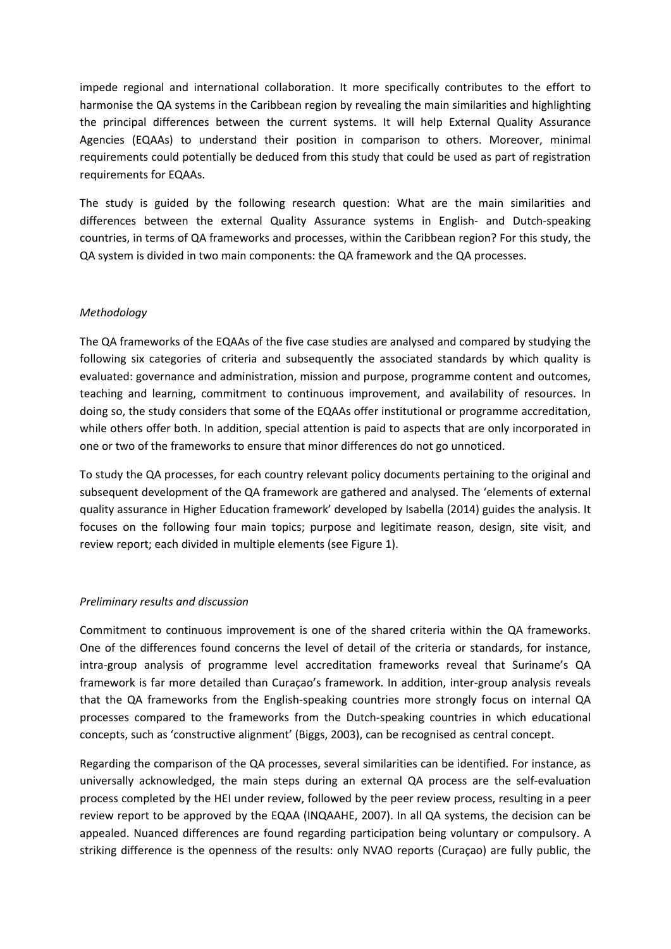impede regional and international collaboration. It more specifically contributes to the effort to harmonise the QA systems in the Caribbean region by revealing the main similarities and highlighting the principal differences between the current systems. It will help External Quality Assurance Agencies (EQAAs) to understand their position in comparison to others. Moreover, minimal requirements could potentially be deduced from this study that could be used as part of registration requirements for EQAAs.

The study is guided by the following research question: What are the main similarities and differences between the external Quality Assurance systems in English- and Dutch-speaking countries, in terms of QA frameworks and processes, within the Caribbean region? For this study, the QA system is divided in two main components: the QA framework and the QA processes.

## *Methodology*

The QA frameworks of the EQAAs of the five case studies are analysed and compared by studying the following six categories of criteria and subsequently the associated standards by which quality is evaluated: governance and administration, mission and purpose, programme content and outcomes, teaching and learning, commitment to continuous improvement, and availability of resources. In doing so, the study considers that some of the EQAAs offer institutional or programme accreditation, while others offer both. In addition, special attention is paid to aspects that are only incorporated in one or two of the frameworks to ensure that minor differences do not go unnoticed.

To study the QA processes, for each country relevant policy documents pertaining to the original and subsequent development of the QA framework are gathered and analysed. The 'elements of external quality assurance in Higher Education framework' developed by Isabella (2014) guides the analysis. It focuses on the following four main topics; purpose and legitimate reason, design, site visit, and review report; each divided in multiple elements (see Figure 1).

### *Preliminary results and discussion*

Commitment to continuous improvement is one of the shared criteria within the QA frameworks. One of the differences found concerns the level of detail of the criteria or standards, for instance, intra-group analysis of programme level accreditation frameworks reveal that Suriname's QA framework is far more detailed than Curaçao's framework. In addition, inter-group analysis reveals that the QA frameworks from the English-speaking countries more strongly focus on internal QA processes compared to the frameworks from the Dutch-speaking countries in which educational concepts, such as 'constructive alignment' (Biggs, 2003), can be recognised as central concept.

Regarding the comparison of the QA processes, several similarities can be identified. For instance, as universally acknowledged, the main steps during an external QA process are the self-evaluation process completed by the HEI under review, followed by the peer review process, resulting in <sup>a</sup> peer review report to be approved by the EQAA (INQAAHE, 2007). In all QA systems, the decision can be appealed. Nuanced differences are found regarding participation being voluntary or compulsory. A striking difference is the openness of the results: only NVAO reports (Curaçao) are fully public, the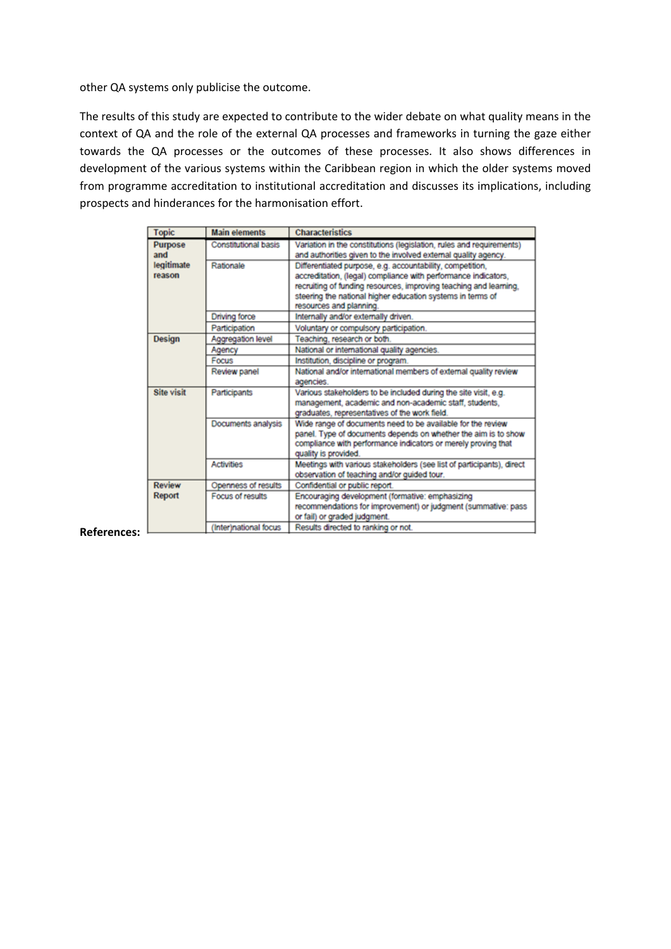other QA systems only publicise the outcome.

The results of this study are expected to contribute to the wider debate on what quality means in the context of QA and the role of the external QA processes and frameworks in turning the gaze either towards the QA processes or the outcomes of these processes. It also shows differences in development of the various systems within the Caribbean region in which the older systems moved from programme accreditation to institutional accreditation and discusses its implications, including prospects and hinderances for the harmonisation effort.

| <b>Topic</b>          | <b>Main elements</b>        | <b>Characteristics</b>                                                                                                                                                                                                                                                                    |
|-----------------------|-----------------------------|-------------------------------------------------------------------------------------------------------------------------------------------------------------------------------------------------------------------------------------------------------------------------------------------|
| <b>Purpose</b><br>and | <b>Constitutional basis</b> | Variation in the constitutions (legislation, rules and requirements)<br>and authorities given to the involved external quality agency.                                                                                                                                                    |
| legitimate<br>reason  | Rationale                   | Differentiated purpose, e.g. accountability, competition,<br>accreditation, (legal) compliance with performance indicators,<br>recruiting of funding resources, improving teaching and learning,<br>steering the national higher education systems in terms of<br>resources and planning. |
|                       | Driving force               | Internally and/or externally driven.                                                                                                                                                                                                                                                      |
|                       | Participation               | Voluntary or compulsory participation.                                                                                                                                                                                                                                                    |
| <b>Design</b>         | Aggregation level           | Teaching, research or both.                                                                                                                                                                                                                                                               |
|                       | Agency                      | National or international quality agencies.                                                                                                                                                                                                                                               |
|                       | Focus                       | Institution, discipline or program.                                                                                                                                                                                                                                                       |
|                       | Review panel                | National and/or international members of external quality review<br>agencies.                                                                                                                                                                                                             |
| <b>Site visit</b>     | Participants                | Various stakeholders to be included during the site visit, e.g.<br>management, academic and non-academic staff, students,<br>graduates, representatives of the work field.                                                                                                                |
|                       | Documents analysis          | Wide range of documents need to be available for the review<br>panel. Type of documents depends on whether the aim is to show<br>compliance with performance indicators or merely proving that<br>quality is provided.                                                                    |
|                       | <b>Activities</b>           | Meetings with various stakeholders (see list of participants), direct<br>observation of teaching and/or guided tour.                                                                                                                                                                      |
| <b>Review</b>         | Openness of results         | Confidential or public report.                                                                                                                                                                                                                                                            |
| Report                | Focus of results            | Encouraging development (formative: emphasizing<br>recommendations for improvement) or judgment (summative: pass<br>or fail) or graded judgment.                                                                                                                                          |
|                       | (Interinational focus       | Results directed to ranking or not                                                                                                                                                                                                                                                        |

#### **References:**